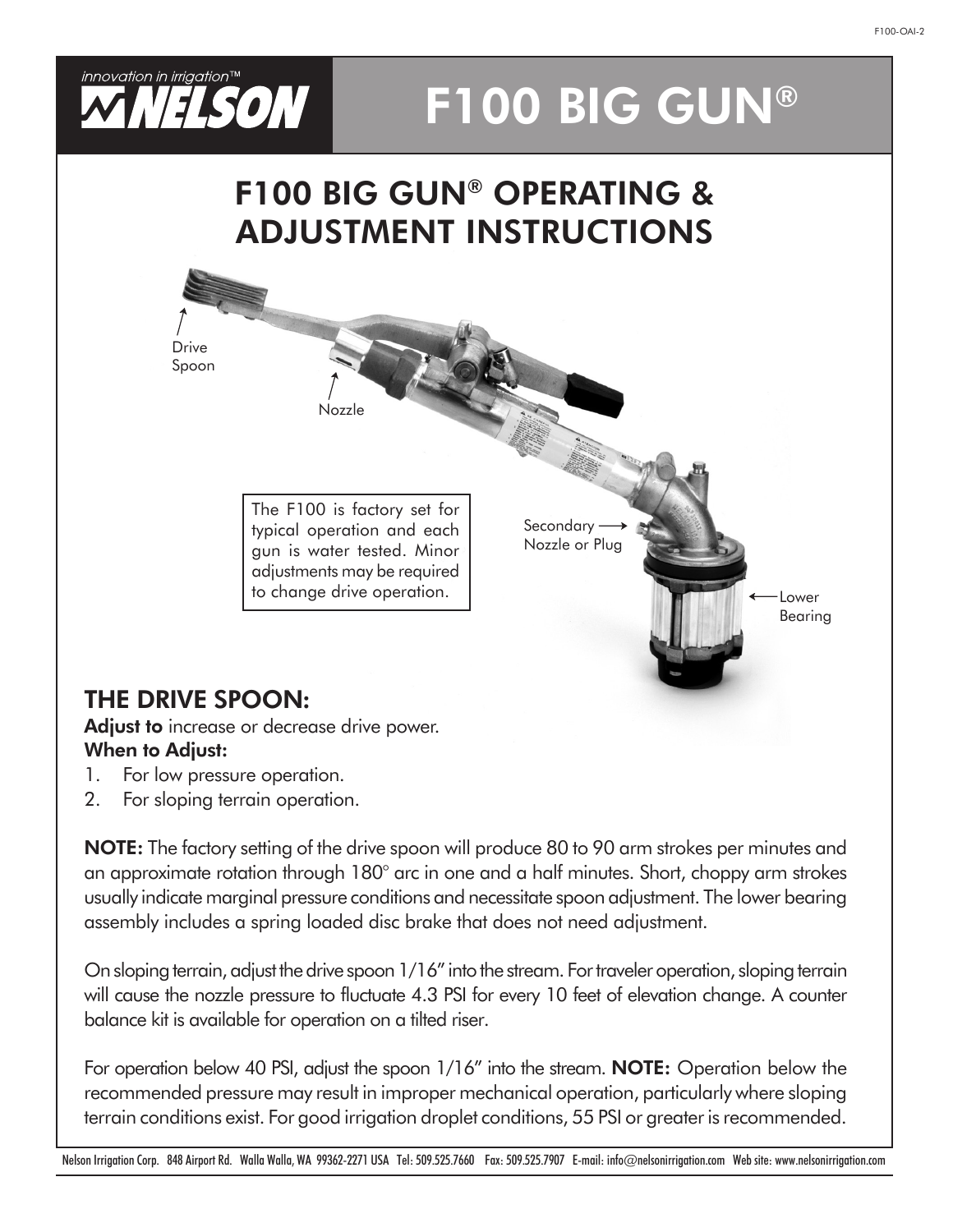

# F100 BIG GUN®

## F100 BIG GUN® OPERATING & ADJUSTMENT INSTRUCTIONS



### THE DRIVE SPOON:

Adjust to increase or decrease drive power. When to Adjust:

- 1. For low pressure operation.
- 2. For sloping terrain operation.

NOTE: The factory setting of the drive spoon will produce 80 to 90 arm strokes per minutes and an approximate rotation through 180° arc in one and a half minutes. Short, choppy arm strokes usually indicate marginal pressure conditions and necessitate spoon adjustment. The lower bearing assembly includes a spring loaded disc brake that does not need adjustment.

On sloping terrain, adjust the drive spoon 1/16" into the stream. For traveler operation, sloping terrain will cause the nozzle pressure to fluctuate 4.3 PSI for every 10 feet of elevation change. A counter balance kit is available for operation on a tilted riser.

For operation below 40 PSI, adjust the spoon 1/16" into the stream. **NOTE:** Operation below the recommended pressure may result in improper mechanical operation, particularly where sloping terrain conditions exist. For good irrigation droplet conditions, 55 PSI or greater is recommended.